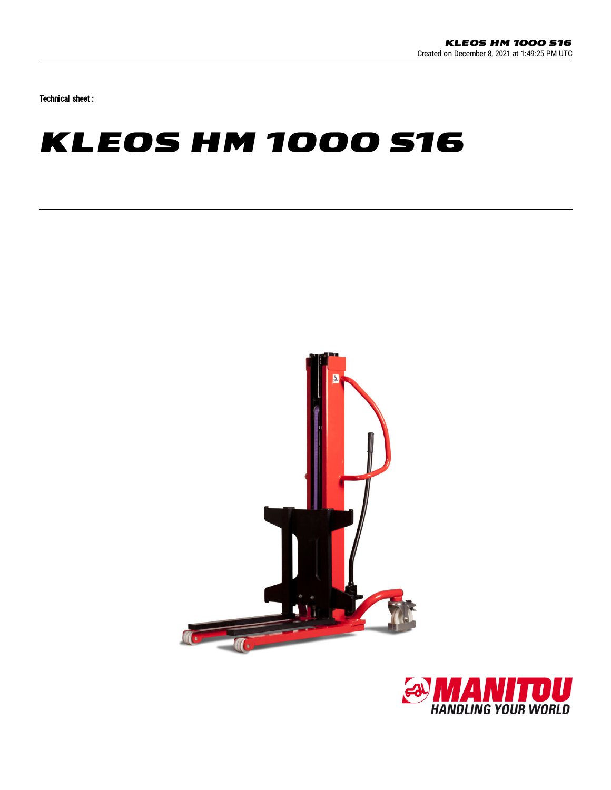Technical sheet :

## **KLEOS HM 1000 S16**



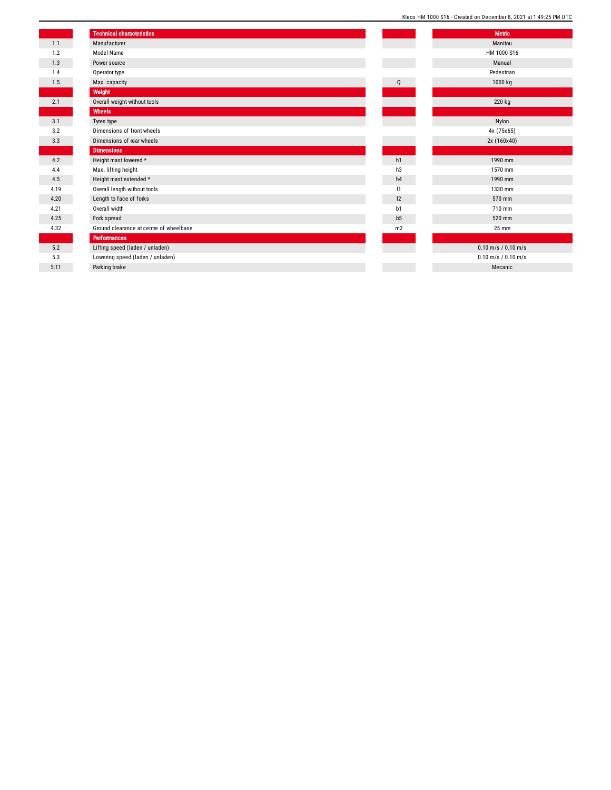| Kleos HM 1000 S16 - Created on December 8, 2021 at 1:49:25 PM UTC |  |
|-------------------------------------------------------------------|--|
|-------------------------------------------------------------------|--|

|      | <b>Technical characteristics</b>        |                | <b>Metric</b>    |
|------|-----------------------------------------|----------------|------------------|
| 1.1  | Manufacturer                            |                | Manitou          |
| 1.2  | Model Name                              |                | HM 1000 S        |
| 1.3  | Power source                            |                | Manual           |
| 1.4  | Operator type                           |                | Pedestria        |
| 1.5  | Max. capacity                           | Q              | 1000 kg          |
|      | Weight                                  |                |                  |
| 2.1  | Overall weight without tools            |                | 220 kg           |
|      | Wheels                                  |                |                  |
| 3.1  | Tyres type                              |                | Nylon            |
| 3.2  | Dimensions of front wheels              |                | 4x (75x65        |
| 3.3  | Dimensions of rear wheels               |                | 2x (160x4        |
|      | <b>Dimensions</b>                       |                |                  |
| 4.2  | Height mast lowered *                   | h1             | 1990 mm          |
| 4.4  | Max. lifting height                     | h3             | 1570 mm          |
| 4.5  | Height mast extended *                  | h4             | 1990 mm          |
| 4.19 | Overall length without tools            | 1              | 1330 mm          |
| 4.20 | Length to face of forks                 | 12             | 570 mm           |
| 4.21 | Overall width                           | b1             | 710 mm           |
| 4.25 | Fork spread                             | b <sub>5</sub> | 520 mm           |
| 4.32 | Ground clearance at centre of wheelbase | m2             | 25 mm            |
|      | <b>Performances</b>                     |                |                  |
| 5.2  | Lifting speed (laden / unladen)         |                | $0.10$ m/s / 0.1 |
| 5.3  | Lowering speed (laden / unladen)        |                | $0.10$ m/s / 0.1 |
| 5.11 | Parking brake                           |                | Mecanic          |
|      |                                         |                |                  |

| Manitou<br>HM 1000 S16<br>Manual<br>Pedestrian<br>1000 kg<br>220 kg<br>Nylon<br>4x (75x65)<br>2x (160x40)<br>1990 mm<br>1570 mm<br>1990 mm<br>1330 mm<br>570 mm<br>710 mm<br>520 mm<br>25 mm<br>$0.10$ m/s / $0.10$ m/s<br>$0.10$ m/s / $0.10$ m/s<br>Mecanic |                | <b>Metric</b> |
|---------------------------------------------------------------------------------------------------------------------------------------------------------------------------------------------------------------------------------------------------------------|----------------|---------------|
|                                                                                                                                                                                                                                                               |                |               |
|                                                                                                                                                                                                                                                               |                |               |
|                                                                                                                                                                                                                                                               |                |               |
|                                                                                                                                                                                                                                                               |                |               |
|                                                                                                                                                                                                                                                               | Q              |               |
|                                                                                                                                                                                                                                                               |                |               |
|                                                                                                                                                                                                                                                               |                |               |
|                                                                                                                                                                                                                                                               |                |               |
|                                                                                                                                                                                                                                                               |                |               |
|                                                                                                                                                                                                                                                               |                |               |
|                                                                                                                                                                                                                                                               |                |               |
|                                                                                                                                                                                                                                                               |                |               |
|                                                                                                                                                                                                                                                               | h1             |               |
|                                                                                                                                                                                                                                                               | h3             |               |
|                                                                                                                                                                                                                                                               | h4             |               |
|                                                                                                                                                                                                                                                               | $\mathsf{I}$   |               |
|                                                                                                                                                                                                                                                               | 12             |               |
|                                                                                                                                                                                                                                                               | b1             |               |
|                                                                                                                                                                                                                                                               | b <sub>5</sub> |               |
|                                                                                                                                                                                                                                                               | m <sub>2</sub> |               |
|                                                                                                                                                                                                                                                               |                |               |
|                                                                                                                                                                                                                                                               |                |               |
|                                                                                                                                                                                                                                                               |                |               |
|                                                                                                                                                                                                                                                               |                |               |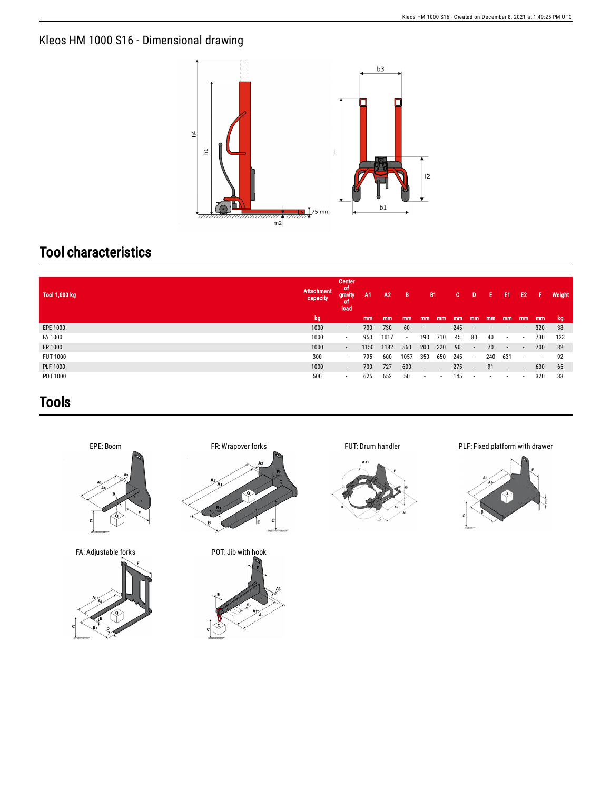## Kleos HM 1000 S16 - Dimensional drawing



## Tool characteristics

| , Tool 1,000 kg | Attachment<br>capacity | Center<br>ot<br>gravity<br>load | A <sub>1</sub> | A2   | B      | <b>B1</b>                |                          | c.  | D                        | Е      | E1                       | E <sub>2</sub> | Æ      | Weight |
|-----------------|------------------------|---------------------------------|----------------|------|--------|--------------------------|--------------------------|-----|--------------------------|--------|--------------------------|----------------|--------|--------|
|                 | kg                     |                                 | mm             | mm   | mm     | mm                       | mm                       | mm  | mm                       | mm     | mm                       | mm             | mm     | - kg   |
| EPE 1000        | 1000                   | $\sim$                          | 700            | 730  | 60     | $\sim$                   | $\overline{\phantom{a}}$ | 245 | $\overline{\phantom{a}}$ | $\sim$ | $\overline{\phantom{a}}$ | $\sim$         | 320    | -38    |
| FA 1000         | 1000                   | $\sim$                          | 950            | 1017 | $\sim$ | 190                      | 710                      | 45  | 80                       | 40     | $\overline{\phantom{a}}$ | $\sim$         | 730    | 123    |
| FR 1000         | 1000                   | $\sim$                          | 1150           | 1182 | 560    | 200                      | 320                      | 90  | a - 1                    | 70     | $\sim$                   | $\sim$         | 700    | 82     |
| <b>FUT 1000</b> | 300                    | $\sim$                          | 795            | 600  | 1057   | 350                      | 650                      | 245 | $\sim$                   | 240    | 631                      | $\sim$         | $\sim$ | 92     |
| <b>PLF 1000</b> | 1000                   | $\sim$                          | 700            | 727  | 600    | $\sim$                   | $\overline{\phantom{a}}$ | 275 | $\sim$                   | 91     | $\sim$                   | $\sim$         | 630    | 65     |
| POT 1000        | 500                    | $\sim$                          | 625            | 652  | 50     | $\overline{\phantom{a}}$ | $\overline{\phantom{a}}$ | 145 | $\overline{\phantom{a}}$ | ٠      | $\overline{\phantom{a}}$ |                | 320    | 33     |

## Tools



FA: Adjustable forks POT: Jib with hook